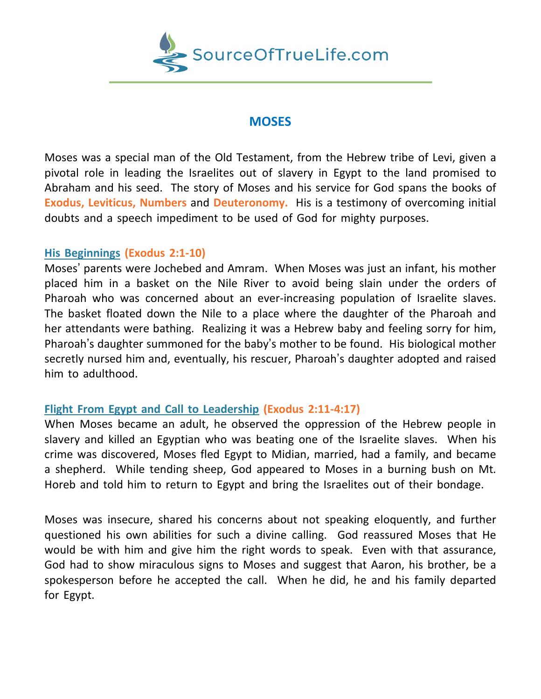

## **MOSES**

Moses was a special man of the Old Testament, from the Hebrew tribe of Levi, given a pivotal role in leading the Israelites out of slavery in Egypt to the land promised to Abraham and his seed. The story of Moses and his service for God spans the books of **Exodus, Leviticus, Numbers** and **Deuteronomy.** His is a testimony of overcoming initial doubts and a speech impediment to be used of God for mighty purposes.

## **His Beginnings (Exodus 2:1-10)**

Moses' parents were Jochebed and Amram. When Moses was just an infant, his mother placed him in a basket on the Nile River to avoid being slain under the orders of Pharoah who was concerned about an ever-increasing population of Israelite slaves. The basket floated down the Nile to a place where the daughter of the Pharoah and her attendants were bathing. Realizing it was a Hebrew baby and feeling sorry for him, Pharoah's daughter summoned for the baby's mother to be found. His biological mother secretly nursed him and, eventually, his rescuer, Pharoah's daughter adopted and raised him to adulthood.

## **Flight From Egypt and Call to Leadership (Exodus 2:11-4:17)**

When Moses became an adult, he observed the oppression of the Hebrew people in slavery and killed an Egyptian who was beating one of the Israelite slaves. When his crime was discovered, Moses fled Egypt to Midian, married, had a family, and became a shepherd. While tending sheep, God appeared to Moses in a burning bush on Mt. Horeb and told him to return to Egypt and bring the Israelites out of their bondage.

Moses was insecure, shared his concerns about not speaking eloquently, and further questioned his own abilities for such a divine calling. God reassured Moses that He would be with him and give him the right words to speak. Even with that assurance, God had to show miraculous signs to Moses and suggest that Aaron, his brother, be a spokesperson before he accepted the call. When he did, he and his family departed for Egypt.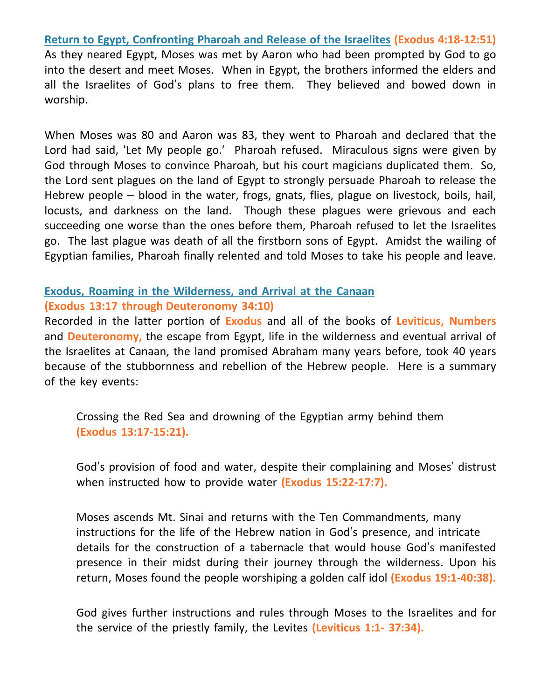**Return to Egypt, Confronting Pharoah and Release of the Israelites (Exodus 4:18-12:51)** As they neared Egypt, Moses was met by Aaron who had been prompted by God to go into the desert and meet Moses. When in Egypt, the brothers informed the elders and all the Israelites of God's plans to free them. They believed and bowed down in worship.

When Moses was 80 and Aaron was 83, they went to Pharoah and declared that the Lord had said, 'Let My people go.' Pharoah refused. Miraculous signs were given by God through Moses to convince Pharoah, but his court magicians duplicated them. So, the Lord sent plagues on the land of Egypt to strongly persuade Pharoah to release the Hebrew people – blood in the water, frogs, gnats, flies, plague on livestock, boils, hail, locusts, and darkness on the land. Though these plagues were grievous and each succeeding one worse than the ones before them, Pharoah refused to let the Israelites go. The last plague was death of all the firstborn sons of Egypt. Amidst the wailing of Egyptian families, Pharoah finally relented and told Moses to take his people and leave.

## **Exodus, Roaming in the Wilderness, and Arrival at the Canaan (Exodus 13:17 through Deuteronomy 34:10)**

Recorded in the latter portion of **Exodus** and all of the books of **Leviticus, Numbers** and **Deuteronomy,** the escape from Egypt, life in the wilderness and eventual arrival of the Israelites at Canaan, the land promised Abraham many years before, took 40 years because of the stubbornness and rebellion of the Hebrew people. Here is a summary of the key events:

Crossing the Red Sea and drowning of the Egyptian army behind them **(Exodus 13:17-15:21).**

God's provision of food and water, despite their complaining and Moses' distrust when instructed how to provide water **(Exodus 15:22-17:7).**

Moses ascends Mt. Sinai and returns with the Ten Commandments, many instructions for the life of the Hebrew nation in God's presence, and intricate details for the construction of a tabernacle that would house God's manifested presence in their midst during their journey through the wilderness. Upon his return, Moses found the people worshiping a golden calf idol **(Exodus 19:1-40:38).**

God gives further instructions and rules through Moses to the Israelites and for the service of the priestly family, the Levites **(Leviticus 1:1- 37:34).**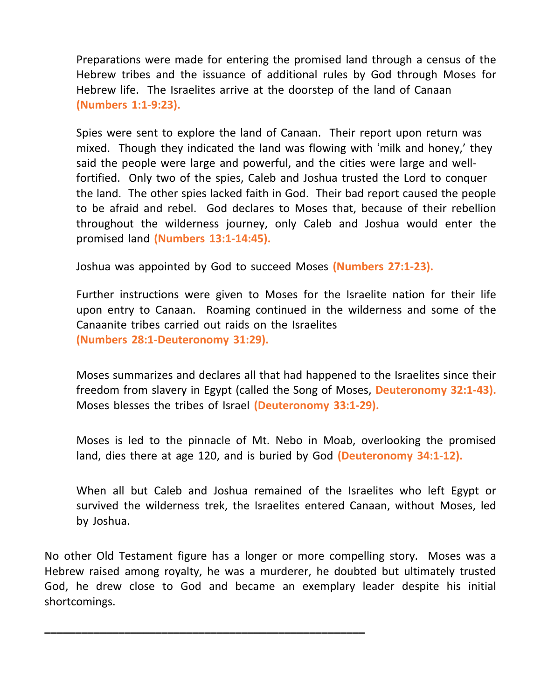Preparations were made for entering the promised land through a census of the Hebrew tribes and the issuance of additional rules by God through Moses for Hebrew life. The Israelites arrive at the doorstep of the land of Canaan **(Numbers 1:1-9:23).**

Spies were sent to explore the land of Canaan. Their report upon return was mixed. Though they indicated the land was flowing with 'milk and honey,' they said the people were large and powerful, and the cities were large and wellfortified. Only two of the spies, Caleb and Joshua trusted the Lord to conquer the land. The other spies lacked faith in God. Their bad report caused the people to be afraid and rebel. God declares to Moses that, because of their rebellion throughout the wilderness journey, only Caleb and Joshua would enter the promised land **(Numbers 13:1-14:45).**

Joshua was appointed by God to succeed Moses **(Numbers 27:1-23).**

Further instructions were given to Moses for the Israelite nation for their life upon entry to Canaan. Roaming continued in the wilderness and some of the Canaanite tribes carried out raids on the Israelites **(Numbers 28:1-Deuteronomy 31:29).**

Moses summarizes and declares all that had happened to the Israelites since their freedom from slavery in Egypt (called the Song of Moses, **Deuteronomy 32:1-43).** Moses blesses the tribes of Israel **(Deuteronomy 33:1-29).**

Moses is led to the pinnacle of Mt. Nebo in Moab, overlooking the promised land, dies there at age 120, and is buried by God **(Deuteronomy 34:1-12).**

When all but Caleb and Joshua remained of the Israelites who left Egypt or survived the wilderness trek, the Israelites entered Canaan, without Moses, led by Joshua.

No other Old Testament figure has a longer or more compelling story. Moses was a Hebrew raised among royalty, he was a murderer, he doubted but ultimately trusted God, he drew close to God and became an exemplary leader despite his initial shortcomings.

**\_\_\_\_\_\_\_\_\_\_\_\_\_\_\_\_\_\_\_\_\_\_\_\_\_\_\_\_\_\_\_\_\_\_\_\_\_\_\_\_\_\_\_\_\_\_\_\_\_\_\_\_**